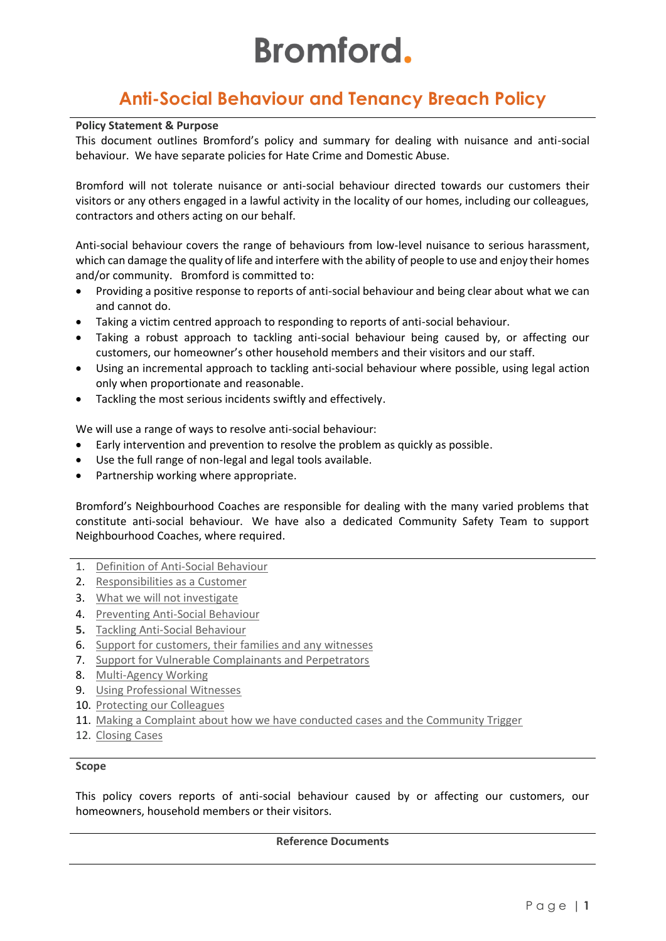# **Bromford.**

# **Anti-Social Behaviour and Tenancy Breach Policy**

#### **Policy Statement & Purpose**

This document outlines Bromford's policy and summary for dealing with nuisance and anti-social behaviour. We have separate policies for Hate Crime and Domestic Abuse.

Bromford will not tolerate nuisance or anti-social behaviour directed towards our customers their visitors or any others engaged in a lawful activity in the locality of our homes, including our colleagues, contractors and others acting on our behalf.

Anti-social behaviour covers the range of behaviours from low-level nuisance to serious harassment, which can damage the quality of life and interfere with the ability of people to use and enjoy their homes and/or community. Bromford is committed to:

- Providing a positive response to reports of anti-social behaviour and being clear about what we can and cannot do.
- Taking a victim centred approach to responding to reports of anti-social behaviour.
- Taking a robust approach to tackling anti-social behaviour being caused by, or affecting our customers, our homeowner's other household members and their visitors and our staff.
- Using an incremental approach to tackling anti-social behaviour where possible, using legal action only when proportionate and reasonable.
- Tackling the most serious incidents swiftly and effectively.

We will use a range of ways to resolve anti-social behaviour:

- Early intervention and prevention to resolve the problem as quickly as possible.
- Use the full range of non-legal and legal tools available.
- Partnership working where appropriate.

Bromford's Neighbourhood Coaches are responsible for dealing with the many varied problems that constitute anti-social behaviour. We have also a dedicated Community Safety Team to support Neighbourhood Coaches, where required.

- 1. [Definition of Anti-Social Behaviour](#page-1-0)
- 2. [Responsibilities as a Customer](#page-1-1)
- 3. [What we will not investigate](#page-1-2)
- 4. [Preventing Anti-Social Behaviour](#page-2-0)
- **5.** [Tackling Anti-Social Behaviour](#page-2-1)
- 6. [Support for customers, their families and any witnesses](#page-3-0)
- 7. [Support for Vulnerable Complainants and Perpetrators](#page-3-1)
- 8. [Multi-Agency Working](#page-4-0)
- 9. [Using Professional Witnesses](#page-4-1)
- 10. [Protecting our Colleagues](#page-4-2)
- 11. [Making a Complaint about how we have conducted cases and the Community Trigger](#page-4-3)
- 12. [Closing Cases](#page-4-4)

#### **Scope**

This policy covers reports of anti-social behaviour caused by or affecting our customers, our homeowners, household members or their visitors.

#### **Reference Documents**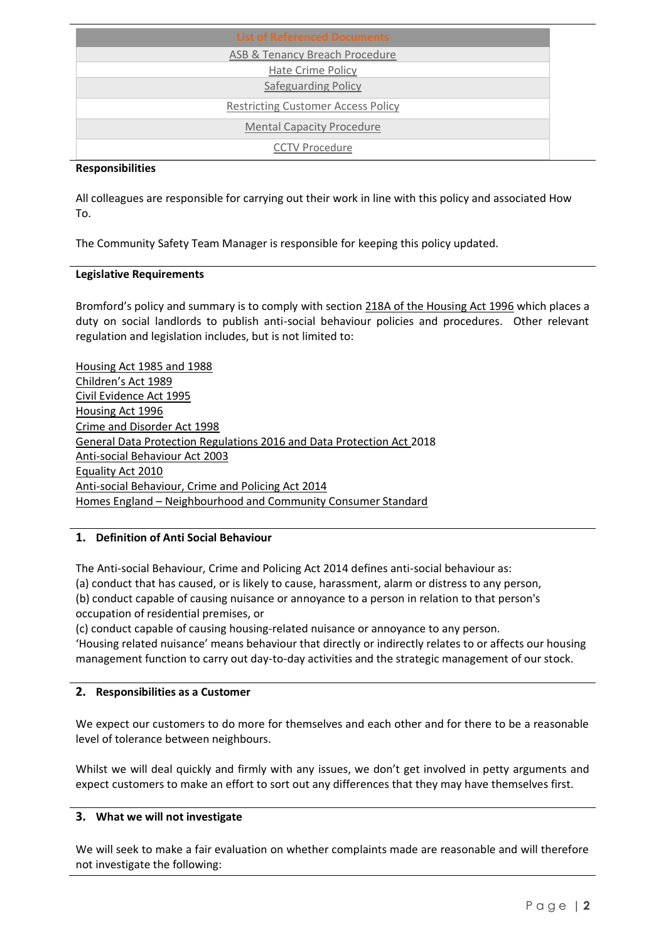| <b>List of Referenced Documents</b>       |
|-------------------------------------------|
| ASB & Tenancy Breach Procedure            |
| Hate Crime Policy                         |
| <b>Safeguarding Policy</b>                |
| <b>Restricting Customer Access Policy</b> |
| <b>Mental Capacity Procedure</b>          |
| <b>CCTV Procedure</b>                     |

#### **Responsibilities**

All colleagues are responsible for carrying out their work in line with this policy and associated How To.

The Community Safety Team Manager is responsible for keeping this policy updated.

# **Legislative Requirements**

Bromford's policy and summary is to comply with section [218A of the Housing Act 1996](http://www.legislation.gov.uk/ukpga/1996/52/section/218A) which places a duty on social landlords to publish anti-social behaviour policies and procedures. Other relevant regulation and legislation includes, but is not limited to:

[Housing Act 1985](http://www.legislation.gov.uk/ukpga/1985/68/contents) an[d 1988](http://www.legislation.gov.uk/ukpga/1988/50/section/21) [Children's Act 1989](http://www.legislation.gov.uk/ukpga/1989/41/contents) [Civil Evidence Act 1995](http://www.legislation.gov.uk/ukpga/1995/38/contents) [Housing Act 1996](http://www.legislation.gov.uk/ukpga/1996/52/contents) [Crime and Disorder Act 1998](http://www.legislation.gov.uk/ukpga/1998/37/contents) General Data Protection Regulations 2016 and Data Protection Act 2018 [Anti-social Behaviour Act 2003](http://www.legislation.gov.uk/ukpga/2003/38/contents) [Equality Act 2010](https://www.gov.uk/equality-act-2010-guidance) [Anti-social Behaviour, Crime and Policing Act 2014](http://www.legislation.gov.uk/ukpga/2014/12/contents/enacted) Homes England – [Neighbourhood and Community Consumer Standard](https://assets.publishing.service.gov.uk/government/uploads/system/uploads/attachment_data/file/725830/Neighbourhood_and_Community_Standard_2015.pdf)

# <span id="page-1-0"></span>**1. Definition of Anti Social Behaviour**

The Anti-social Behaviour, Crime and Policing Act 2014 defines anti-social behaviour as: (a) conduct that has caused, or is likely to cause, harassment, alarm or distress to any person, (b) conduct capable of causing nuisance or annoyance to a person in relation to that person's occupation of residential premises, or

(c) conduct capable of causing housing-related nuisance or annoyance to any person.

'Housing related nuisance' means behaviour that directly or indirectly relates to or affects our housing management function to carry out day-to-day activities and the strategic management of our stock.

# <span id="page-1-1"></span>**2. Responsibilities as a Customer**

We expect our customers to do more for themselves and each other and for there to be a reasonable level of tolerance between neighbours.

Whilst we will deal quickly and firmly with any issues, we don't get involved in petty arguments and expect customers to make an effort to sort out any differences that they may have themselves first.

# <span id="page-1-2"></span>**3. What we will not investigate**

We will seek to make a fair evaluation on whether complaints made are reasonable and will therefore not investigate the following: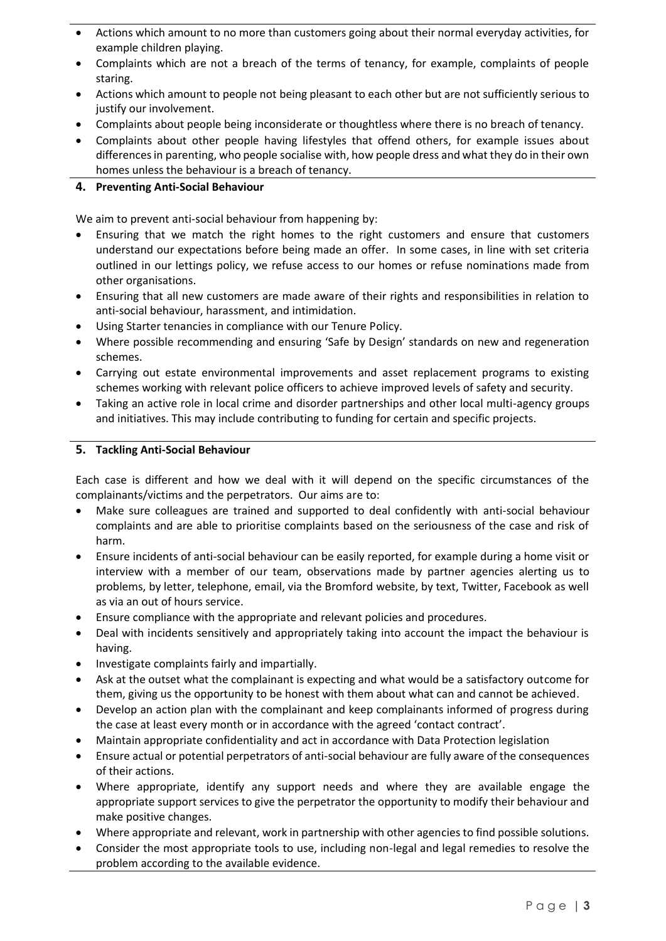- Actions which amount to no more than customers going about their normal everyday activities, for example children playing.
- Complaints which are not a breach of the terms of tenancy, for example, complaints of people staring.
- Actions which amount to people not being pleasant to each other but are not sufficiently serious to justify our involvement.
- Complaints about people being inconsiderate or thoughtless where there is no breach of tenancy.
- Complaints about other people having lifestyles that offend others, for example issues about differences in parenting, who people socialise with, how people dress and what they do in their own homes unless the behaviour is a breach of tenancy.

### <span id="page-2-0"></span>**4. Preventing Anti-Social Behaviour**

We aim to prevent anti-social behaviour from happening by:

- Ensuring that we match the right homes to the right customers and ensure that customers understand our expectations before being made an offer. In some cases, in line with set criteria outlined in our lettings policy, we refuse access to our homes or refuse nominations made from other organisations.
- Ensuring that all new customers are made aware of their rights and responsibilities in relation to anti-social behaviour, harassment, and intimidation.
- Using Starter tenancies in compliance with our Tenure Policy.
- Where possible recommending and ensuring 'Safe by Design' standards on new and regeneration schemes.
- Carrying out estate environmental improvements and asset replacement programs to existing schemes working with relevant police officers to achieve improved levels of safety and security.
- Taking an active role in local crime and disorder partnerships and other local multi-agency groups and initiatives. This may include contributing to funding for certain and specific projects.

#### <span id="page-2-1"></span>**5. Tackling Anti-Social Behaviour**

Each case is different and how we deal with it will depend on the specific circumstances of the complainants/victims and the perpetrators. Our aims are to:

- Make sure colleagues are trained and supported to deal confidently with anti-social behaviour complaints and are able to prioritise complaints based on the seriousness of the case and risk of harm.
- Ensure incidents of anti-social behaviour can be easily reported, for example during a home visit or interview with a member of our team, observations made by partner agencies alerting us to problems, by letter, telephone, email, via the Bromford website, by text, Twitter, Facebook as well as via an out of hours service.
- Ensure compliance with the appropriate and relevant policies and procedures.
- Deal with incidents sensitively and appropriately taking into account the impact the behaviour is having.
- Investigate complaints fairly and impartially.
- Ask at the outset what the complainant is expecting and what would be a satisfactory outcome for them, giving us the opportunity to be honest with them about what can and cannot be achieved.
- Develop an action plan with the complainant and keep complainants informed of progress during the case at least every month or in accordance with the agreed 'contact contract'.
- Maintain appropriate confidentiality and act in accordance with Data Protection legislation
- Ensure actual or potential perpetrators of anti-social behaviour are fully aware of the consequences of their actions.
- Where appropriate, identify any support needs and where they are available engage the appropriate support services to give the perpetrator the opportunity to modify their behaviour and make positive changes.
- Where appropriate and relevant, work in partnership with other agencies to find possible solutions.
- Consider the most appropriate tools to use, including non-legal and legal remedies to resolve the problem according to the available evidence.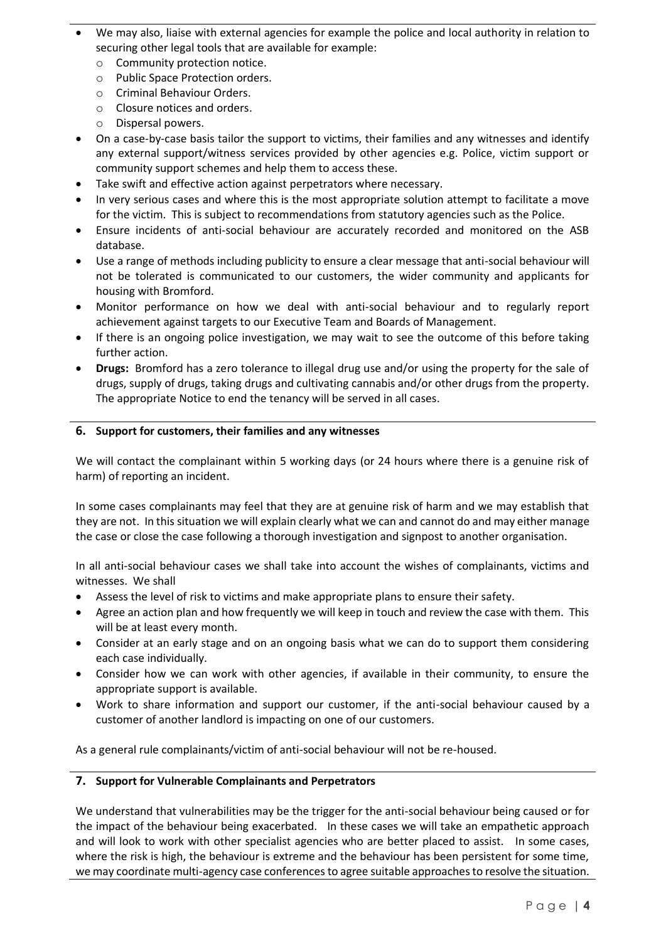- We may also, liaise with external agencies for example the police and local authority in relation to securing other legal tools that are available for example:
	- o Community protection notice.
	- o Public Space Protection orders.
	- o Criminal Behaviour Orders.
	- o Closure notices and orders.
	- o Dispersal powers.
- On a case-by-case basis tailor the support to victims, their families and any witnesses and identify any external support/witness services provided by other agencies e.g. Police, victim support or community support schemes and help them to access these.
- Take swift and effective action against perpetrators where necessary.
- In very serious cases and where this is the most appropriate solution attempt to facilitate a move for the victim. This is subject to recommendations from statutory agencies such as the Police.
- Ensure incidents of anti-social behaviour are accurately recorded and monitored on the ASB database.
- Use a range of methods including publicity to ensure a clear message that anti-social behaviour will not be tolerated is communicated to our customers, the wider community and applicants for housing with Bromford.
- Monitor performance on how we deal with anti-social behaviour and to regularly report achievement against targets to our Executive Team and Boards of Management.
- If there is an ongoing police investigation, we may wait to see the outcome of this before taking further action.
- **Drugs:** Bromford has a zero tolerance to illegal drug use and/or using the property for the sale of drugs, supply of drugs, taking drugs and cultivating cannabis and/or other drugs from the property. The appropriate Notice to end the tenancy will be served in all cases.

# <span id="page-3-0"></span>**6. Support for customers, their families and any witnesses**

We will contact the complainant within 5 working days (or 24 hours where there is a genuine risk of harm) of reporting an incident.

In some cases complainants may feel that they are at genuine risk of harm and we may establish that they are not. In this situation we will explain clearly what we can and cannot do and may either manage the case or close the case following a thorough investigation and signpost to another organisation.

In all anti-social behaviour cases we shall take into account the wishes of complainants, victims and witnesses. We shall

- Assess the level of risk to victims and make appropriate plans to ensure their safety.
- Agree an action plan and how frequently we will keep in touch and review the case with them. This will be at least every month.
- Consider at an early stage and on an ongoing basis what we can do to support them considering each case individually.
- Consider how we can work with other agencies, if available in their community, to ensure the appropriate support is available.
- Work to share information and support our customer, if the anti-social behaviour caused by a customer of another landlord is impacting on one of our customers.

As a general rule complainants/victim of anti-social behaviour will not be re-housed.

# <span id="page-3-1"></span>**7. Support for Vulnerable Complainants and Perpetrators**

We understand that vulnerabilities may be the trigger for the anti-social behaviour being caused or for the impact of the behaviour being exacerbated. In these cases we will take an empathetic approach and will look to work with other specialist agencies who are better placed to assist. In some cases, where the risk is high, the behaviour is extreme and the behaviour has been persistent for some time, we may coordinate multi-agency case conferences to agree suitable approaches to resolve the situation.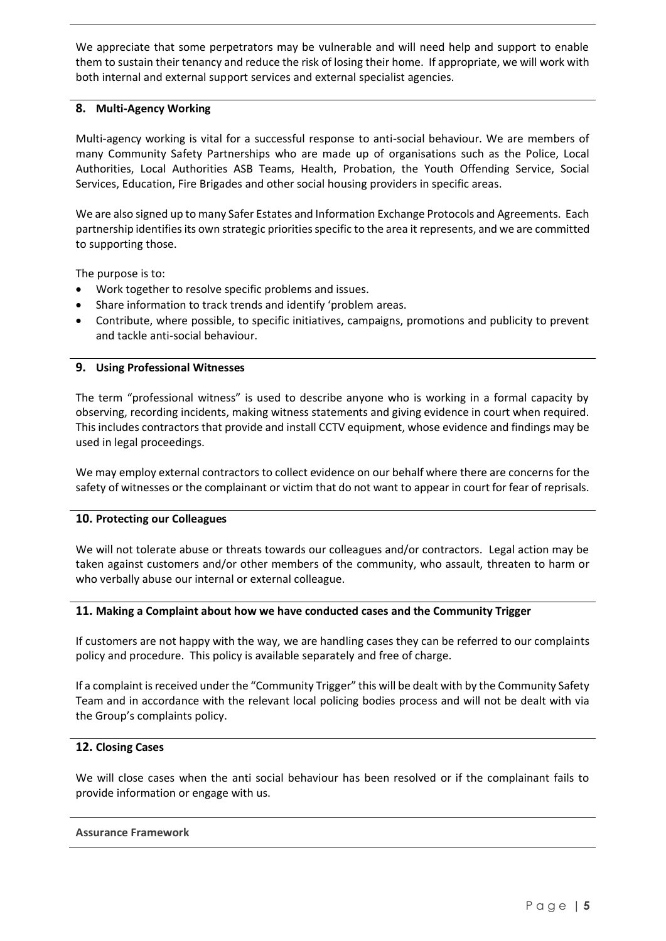We appreciate that some perpetrators may be vulnerable and will need help and support to enable them to sustain their tenancy and reduce the risk of losing their home. If appropriate, we will work with both internal and external support services and external specialist agencies.

#### <span id="page-4-0"></span>**8. Multi-Agency Working**

Multi-agency working is vital for a successful response to anti-social behaviour. We are members of many Community Safety Partnerships who are made up of organisations such as the Police, Local Authorities, Local Authorities ASB Teams, Health, Probation, the Youth Offending Service, Social Services, Education, Fire Brigades and other social housing providers in specific areas.

We are also signed up to many Safer Estates and Information Exchange Protocols and Agreements. Each partnership identifies its own strategic priorities specific to the area it represents, and we are committed to supporting those.

The purpose is to:

- Work together to resolve specific problems and issues.
- Share information to track trends and identify 'problem areas.
- Contribute, where possible, to specific initiatives, campaigns, promotions and publicity to prevent and tackle anti-social behaviour.

#### <span id="page-4-1"></span>**9. Using Professional Witnesses**

The term "professional witness" is used to describe anyone who is working in a formal capacity by observing, recording incidents, making witness statements and giving evidence in court when required. This includes contractors that provide and install CCTV equipment, whose evidence and findings may be used in legal proceedings.

We may employ external contractors to collect evidence on our behalf where there are concerns for the safety of witnesses or the complainant or victim that do not want to appear in court for fear of reprisals.

# <span id="page-4-2"></span>**10. Protecting our Colleagues**

We will not tolerate abuse or threats towards our colleagues and/or contractors. Legal action may be taken against customers and/or other members of the community, who assault, threaten to harm or who verbally abuse our internal or external colleague.

#### <span id="page-4-3"></span>**11. Making a Complaint about how we have conducted cases and the Community Trigger**

If customers are not happy with the way, we are handling cases they can be referred to our complaints policy and procedure. This policy is available separately and free of charge.

If a complaint is received under the "Community Trigger" this will be dealt with by the Community Safety Team and in accordance with the relevant local policing bodies process and will not be dealt with via the Group's complaints policy.

#### <span id="page-4-4"></span>**12. Closing Cases**

We will close cases when the anti social behaviour has been resolved or if the complainant fails to provide information or engage with us.

#### **Assurance Framework**